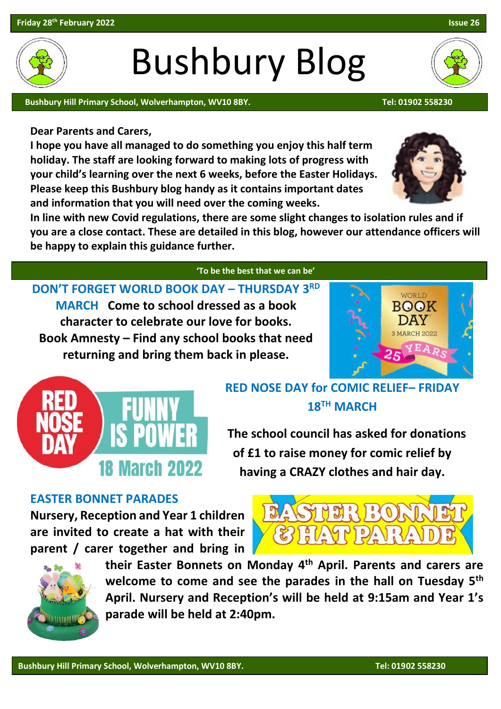## Bushbury Blog

Bushbury Hill Primary School, Wolverhampton, WV10 8BY. The Contract of the Contract of the Contract of the Contra

**Dear Parents and Carers,**

**I hope you have all managed to do something you enjoy this half term holiday. The staff are looking forward to making lots of progress with your child's learning over the next 6 weeks, before the Easter Holidays. Please keep this Bushbury blog handy as it contains important dates and information that you will need over the coming weeks.**

**In line with new Covid regulations, there are some slight changes to isolation rules and if you are a close contact. These are detailed in this blog, however our attendance officers will be happy to explain this guidance further.**

 **'To be the best that we can be'** 

**DON'T FORGET WORLD BOOK DAY – THURSDAY 3 RD MARCH Come to school dressed as a book character to celebrate our love for books. Book Amnesty – Find any school books that need returning and bring them back in please.**





 **The school council has asked for donations of £1 to raise money for comic relief by** 

**having a CRAZY clothes and hair day.** 

#### **EASTER BONNET PARADES**

**Nursery, Reception and Year 1 children are invited to create a hat with their parent / carer together and bring in** 

> **their Easter Bonnets on Monday 4 th April. Parents and carers are welcome to come and see the parades in the hall on Tuesday 5th April. Nursery and Reception's will be held at 9:15am and Year 1's parade will be held at 2:40pm.**





WORLD BOOK DAY 3 MARCH 2022 7 E A



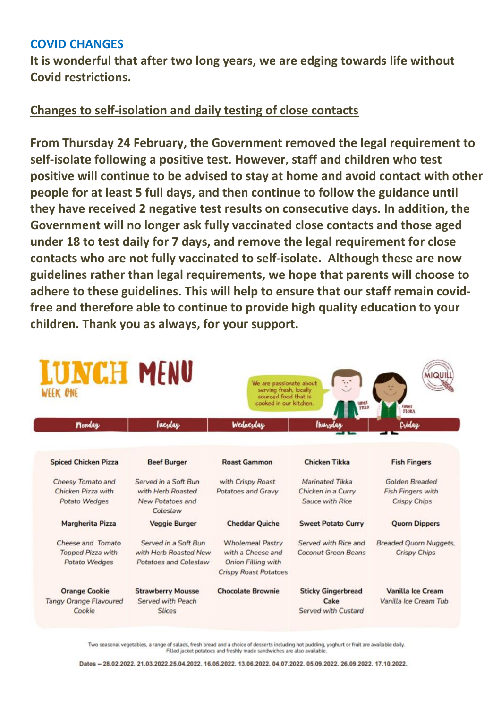### **COVID CHANGES**

**It is wonderful that after two long years, we are edging towards life without Covid restrictions.** 

### **Changes to self-isolation and daily testing of close contacts**

**From Thursday 24 February, the Government removed the legal requirement to self-isolate following a positive test. However, staff and children who test positive will continue to be advised to stay at home and avoid contact with other people for at least 5 full days, and then continue to follow the guidance until they have received 2 negative test results on consecutive days. In addition, the Government will no longer ask fully vaccinated close contacts and those aged under 18 to test daily for 7 days, and remove the legal requirement for close contacts who are not fully vaccinated to self-isolate. Although these are now guidelines rather than legal requirements, we hope that parents will choose to adhere to these guidelines. This will help to ensure that our staff remain covidfree and therefore able to continue to provide high quality education to your children. Thank you as always, for your support.**

| <b>LUNCH MENU</b><br>WEEK ONE                                   |                                                                                  | We are passionate about<br>serving fresh, locally<br>sourced food that is<br>cooked in our kitchen.       | <b>FILED</b>                                             | <b>MIQUILL</b><br>FARMER<br><b>FLORA</b>                          |
|-----------------------------------------------------------------|----------------------------------------------------------------------------------|-----------------------------------------------------------------------------------------------------------|----------------------------------------------------------|-------------------------------------------------------------------|
| Monday                                                          | Tuesday                                                                          | Wednesday                                                                                                 | Thursday                                                 | Criday                                                            |
|                                                                 |                                                                                  |                                                                                                           |                                                          |                                                                   |
| <b>Spiced Chicken Pizza</b>                                     | <b>Beef Burger</b>                                                               | <b>Roast Gammon</b>                                                                                       | <b>Chicken Tikka</b>                                     | <b>Fish Fingers</b>                                               |
| Cheesy Tomato and<br>Chicken Pizza with<br>Potato Wedges        | Served in a Soft Bun<br>with Herb Roasted<br><b>New Potatoes and</b><br>Coleslaw | with Crispy Roast<br><b>Potatoes and Gravy</b>                                                            | Marinated Tikka<br>Chicken in a Curry<br>Sauce with Rice | Golden Breaded<br><b>Fish Fingers with</b><br><b>Crispy Chips</b> |
| <b>Margherita Pizza</b>                                         | <b>Veggie Burger</b>                                                             | <b>Cheddar Quiche</b>                                                                                     | <b>Sweet Potato Curry</b>                                | <b>Quorn Dippers</b>                                              |
| Cheese and Tomato<br><b>Topped Pizza with</b><br>Potato Wedges  | Served in a Soft Bun<br>with Herb Roasted New<br><b>Potatoes and Coleslaw</b>    | <b>Wholemeal Pastry</b><br>with a Cheese and<br><b>Onion Filling with</b><br><b>Crispy Roast Potatoes</b> | Served with Rice and<br><b>Coconut Green Beans</b>       | <b>Breaded Quorn Nuggets,</b><br><b>Crispy Chips</b>              |
| <b>Orange Cookie</b><br><b>Tangy Orange Flavoured</b><br>Cookie | <b>Strawberry Mousse</b><br>Served with Peach<br><b>Slices</b>                   | <b>Chocolate Brownie</b>                                                                                  | <b>Sticky Gingerbread</b><br>Cake<br>Served with Custard | <b>Vanilla Ice Cream</b><br>Vanilla Ice Cream Tub                 |

Two seasonal vegetables, a range of salads, fresh bread and a choice of desserts including hot pudding, yoghurt or fruit are available daily. Filled jacket potatoes and freshly made sandwiches are also available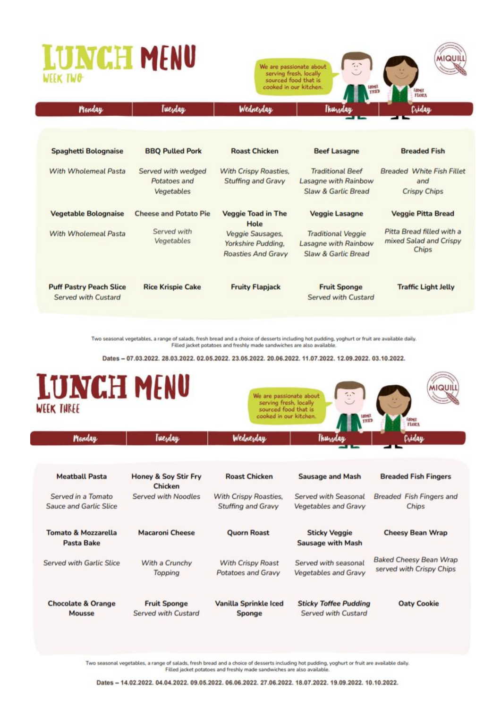# UNCH MENU

Tuesday

Monday



| <b>Spaghetti Bolognaise</b>                           | <b>BBQ Pulled Pork</b>                           | <b>Roast Chicken</b>                                                | <b>Beef Lasagne</b>                                                      | <b>Breaded Fish</b>                                            |
|-------------------------------------------------------|--------------------------------------------------|---------------------------------------------------------------------|--------------------------------------------------------------------------|----------------------------------------------------------------|
| With Wholemeal Pasta                                  | Served with wedged<br>Potatoes and<br>Vegetables | <b>With Crispy Roasties,</b><br>Stuffing and Gravy                  | <b>Traditional Beef</b><br>Lasagne with Rainbow<br>Slaw & Garlic Bread   | <b>Breaded White Fish Fillet</b><br>and<br><b>Crispy Chips</b> |
| <b>Vegetable Bolognaise</b>                           | <b>Cheese and Potato Pie</b>                     | <b>Veggie Toad in The</b><br>Hole                                   | <b>Veggie Lasagne</b>                                                    | <b>Veggie Pitta Bread</b>                                      |
| With Wholemeal Pasta                                  | Served with<br>Vegetables                        | Veggie Sausages,<br>Yorkshire Pudding,<br><b>Roasties And Gravy</b> | <b>Traditional Veggie</b><br>Lasagne with Rainbow<br>Slaw & Garlic Bread | Pitta Bread filled with a<br>mixed Salad and Crispy<br>Chips   |
| <b>Puff Pastry Peach Slice</b><br>Served with Custard | <b>Rice Krispie Cake</b>                         | <b>Fruity Flapjack</b>                                              | <b>Fruit Sponge</b><br>Served with Custard                               | <b>Traffic Light Jelly</b>                                     |

Two seasonal vegetables, a range of salads, fresh bread and a choice of desserts including hot pudding, yoghurt or fruit are available daily. Filled jacket potatoes and freshly made sandwiches are also available

Dates - 07.03.2022, 28.03.2022, 02.05.2022, 23.05.2022, 20.06.2022, 11.07.2022, 12.09.2022, 03.10.2022.



Two seasonal vegetables, a range of salads, fresh bread and a choice of desserts including hot pudding, yoghurt or fruit are available daily. Filled jacket potatoes and freshly made sandwiches are also available.